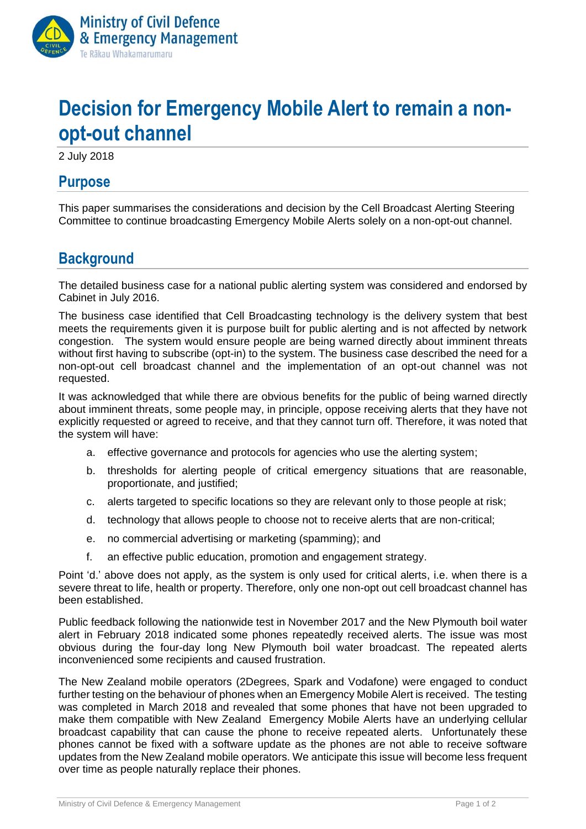

# **Decision for Emergency Mobile Alert to remain a nonopt-out channel**

2 July 2018

#### **Purpose**

This paper summarises the considerations and decision by the Cell Broadcast Alerting Steering Committee to continue broadcasting Emergency Mobile Alerts solely on a non-opt-out channel.

# **Background**

The detailed business case for a national public alerting system was considered and endorsed by Cabinet in July 2016.

The business case identified that Cell Broadcasting technology is the delivery system that best meets the requirements given it is purpose built for public alerting and is not affected by network congestion. The system would ensure people are being warned directly about imminent threats without first having to subscribe (opt-in) to the system. The business case described the need for a non-opt-out cell broadcast channel and the implementation of an opt-out channel was not requested.

It was acknowledged that while there are obvious benefits for the public of being warned directly about imminent threats, some people may, in principle, oppose receiving alerts that they have not explicitly requested or agreed to receive, and that they cannot turn off. Therefore, it was noted that the system will have:

- a. effective governance and protocols for agencies who use the alerting system;
- b. thresholds for alerting people of critical emergency situations that are reasonable, proportionate, and justified;
- c. alerts targeted to specific locations so they are relevant only to those people at risk;
- d. technology that allows people to choose not to receive alerts that are non-critical;
- e. no commercial advertising or marketing (spamming); and
- f. an effective public education, promotion and engagement strategy.

Point 'd.' above does not apply, as the system is only used for critical alerts, i.e. when there is a severe threat to life, health or property. Therefore, only one non-opt out cell broadcast channel has been established.

Public feedback following the nationwide test in November 2017 and the New Plymouth boil water alert in February 2018 indicated some phones repeatedly received alerts. The issue was most obvious during the four-day long New Plymouth boil water broadcast. The repeated alerts inconvenienced some recipients and caused frustration.

The New Zealand mobile operators (2Degrees, Spark and Vodafone) were engaged to conduct further testing on the behaviour of phones when an Emergency Mobile Alert is received. The testing was completed in March 2018 and revealed that some phones that have not been upgraded to make them compatible with New Zealand Emergency Mobile Alerts have an underlying cellular broadcast capability that can cause the phone to receive repeated alerts. Unfortunately these phones cannot be fixed with a software update as the phones are not able to receive software updates from the New Zealand mobile operators. We anticipate this issue will become less frequent over time as people naturally replace their phones.